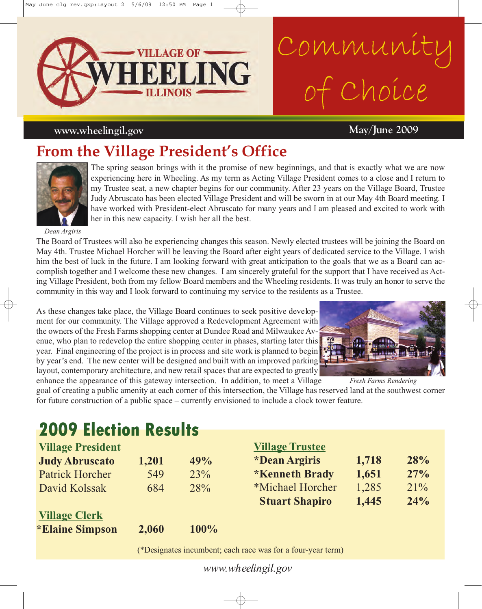

# Community of Choice

#### *www.wheelingil.gov* **<b>May/June 2009**

## **From the Village President's Office**



The spring season brings with it the promise of new beginnings, and that is exactly what we are now experiencing here in Wheeling. As my term as Acting Village President comes to a close and I return to my Trustee seat, a new chapter begins for our community. After 23 years on the Village Board, Trustee Judy Abruscato has been elected Village President and will be sworn in at our May 4th Board meeting. I have worked with President-elect Abruscato for many years and I am pleased and excited to work with her in this new capacity. I wish her all the best.

*Dean Argiris*

The Board of Trustees will also be experiencing changes this season. Newly elected trustees will be joining the Board on May 4th. Trustee Michael Horcher will be leaving the Board after eight years of dedicated service to the Village. I wish him the best of luck in the future. I am looking forward with great anticipation to the goals that we as a Board can accomplish together and I welcome these new changes. I am sincerely grateful for the support that I have received as Acting Village President, both from my fellow Board members and the Wheeling residents. It was truly an honor to serve the community in this way and I look forward to continuing my service to the residents as a Trustee.

As these changes take place, the Village Board continues to seek positive development for our community. The Village approved a Redevelopment Agreement with the owners of the Fresh Farms shopping center at Dundee Road and Milwaukee Avenue, who plan to redevelop the entire shopping center in phases, starting later this year. Final engineering of the project is in process and site work is planned to begin by year's end. The new center will be designed and built with an improved parking layout, contemporary architecture, and new retail spaces that are expected to greatly enhance the appearance of this gateway intersection. In addition, to meet a Village



*Fresh Farms Rendering*

goal of creating a public amenity at each corner of this intersection, the Village has reserved land at the southwest corner for future construction of a public space – currently envisioned to include a clock tower feature.

## **2009 Election Results**

| <b>Village President</b>      |       |         | <b>Village Trustee</b>      |       |        |
|-------------------------------|-------|---------|-----------------------------|-------|--------|
| <b>Judy Abruscato</b>         | 1,201 | 49%     | <i><b>*Dean Argiris</b></i> | 1,718 | 28%    |
| <b>Patrick Horcher</b>        | 549   | 23%     | <b>*Kenneth Brady</b>       | 1,651 | 27%    |
| David Kolssak                 | 684   | 28%     | *Michael Horcher            | 1,285 | $21\%$ |
|                               |       |         | <b>Stuart Shapiro</b>       | 1,445 | 24%    |
| <b>Village Clerk</b>          |       |         |                             |       |        |
| <i><b>*Elaine Simpson</b></i> | 2,060 | $100\%$ |                             |       |        |

(\*Designates incumbent; each race was for a four-year term)

*www.wheelingil.gov*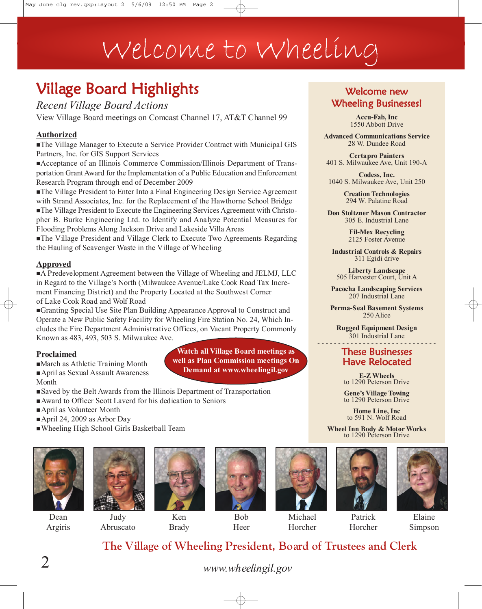## Welcome to Wheeling

## Village Board Highlights

*Recent Village Board Actions*

View Village Board meetings on Comcast Channel 17, AT&T Channel 99

#### **Authorized**

The Village Manager to Execute a Service Provider Contract with Municipal GIS Partners, Inc. for GIS Support Services

Acceptance of an Illinois Commerce Commission/Illinois Department of Transportation Grant Award for the Implementation of a Public Education and Enforcement Research Program through end of December 2009

The Village President to Enter Into a Final Engineering Design Service Agreement with Strand Associates, Inc. for the Replacement of the Hawthorne School Bridge The Village President to Execute the Engineering Services Agreement with Christopher B. Burke Engineering Ltd. to Identify and Analyze Potential Measures for Flooding Problems Along Jackson Drive and Lakeside Villa Areas

The Village President and Village Clerk to Execute Two Agreements Regarding the Hauling of Scavenger Waste in the Village of Wheeling

#### **Approved**

A Predevelopment Agreement between the Village of Wheeling and JELMJ, LLC in Regard to the Village's North (Milwaukee Avenue/Lake Cook Road Tax Increment Financing District) and the Property Located at the Southwest Corner of Lake Cook Road and Wolf Road

Granting Special Use Site Plan Building Appearance Approval to Construct and Operate a New Public Safety Facility for Wheeling Fire Station No. 24, Which Includes the Fire Department Administrative Offices, on Vacant Property Commonly Known as 483, 493, 503 S. Milwaukee Ave.

#### **Proclaimed**

March as Athletic Training Month April as Sexual Assault Awareness

Month

- Saved by the Belt Awards from the Illinois Department of Transportation
- Award to Officer Scott Laverd for his dedication to Seniors
- April as Volunteer Month
- April 24, 2009 as Arbor Day
- Wheeling High School Girls Basketball Team



Dean Argiris

Judy Abruscato



Ken Brady



**Watch all Village Board meetings as well as Plan Commission meetings On Demand at www.wheelingil.gov**

Bob Heer



Michael Horcher



Patrick Horcher



Elaine Simpson

#### Welcome new Wheeling Businesses!

**Accu-Fab, Inc** 1550 Abbott Drive

**Advanced Communications Service** 28 W. Dundee Road

**Certapro Painters**  401 S. Milwaukee Ave, Unit 190-A

**Codess, Inc.** 1040 S. Milwaukee Ave, Unit 250

> **Creation Technologies** 294 W. Palatine Road

**Don Stoltzner Mason Contractor** 305 E. Industrial Lane

> **Fil-Mex Recycling** 2125 Foster Avenue

**Industrial Controls & Repairs** 311 Egidi drive

**Liberty Landscape** 505 Harvester Court, Unit A

**Pacocha Landscaping Services** 207 Industrial Lane

**Perma-Seal Basement Systems** 250 Alice

**Rugged Equipment Design** 301 Industrial Lane

#### - - - - - - - - - - - - - - - - - - - - - - - - - - - - - These Businesses Have Relocated

**E-Z Wheels** to 1290 Peterson Drive

**Gene's Village Towing** to 1290 Peterson Drive

**Home Line, Inc** to 591 N. Wolf Road

**Wheel Inn Body & Motor Works** to 1290 Peterson Drive

### **The Village of Wheeling President, Board of Trustees and Clerk**

*www.wheelingil.gov*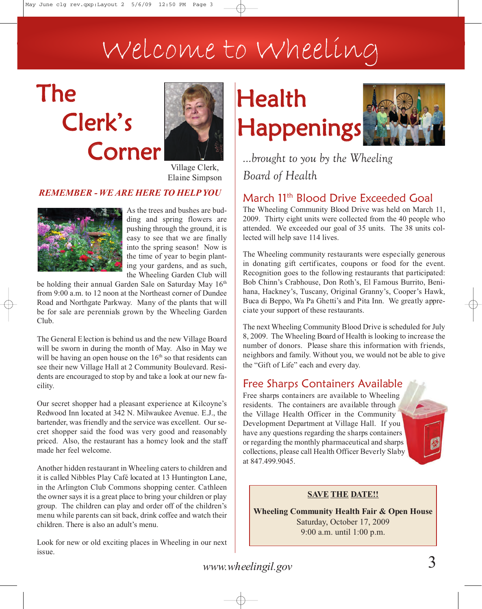## Welcome to Wheeling

## The Clerk's Corner



Village Clerk, Elaine Simpson

#### *REMEMBER - WE ARE HERE TO HELP YOU*



As the trees and bushes are budding and spring flowers are pushing through the ground, it is easy to see that we are finally into the spring season! Now is the time of year to begin planting your gardens, and as such, the Wheeling Garden Club will

be holding their annual Garden Sale on Saturday May 16th from 9:00 a.m. to 12 noon at the Northeast corner of Dundee Road and Northgate Parkway. Many of the plants that will be for sale are perennials grown by the Wheeling Garden Club.

The General Election is behind us and the new Village Board will be sworn in during the month of May. Also in May we will be having an open house on the  $16<sup>th</sup>$  so that residents can see their new Village Hall at 2 Community Boulevard. Residents are encouraged to stop by and take a look at our new facility.

Our secret shopper had a pleasant experience at Kilcoyne's Redwood Inn located at 342 N. Milwaukee Avenue. E.J., the bartender, was friendly and the service was excellent. Our secret shopper said the food was very good and reasonably priced. Also, the restaurant has a homey look and the staff made her feel welcome.

Another hidden restaurant in Wheeling caters to children and it is called Nibbles Play Café located at 13 Huntington Lane, in the Arlington Club Commons shopping center. Cathleen the owner says it is a great place to bring your children or play group. The children can play and order off of the children's menu while parents can sit back, drink coffee and watch their children. There is also an adult's menu.

Look for new or old exciting places in Wheeling in our next issue.

## **Health** Happenings



*...brought to you by the Wheeling Board of Health*

### March 11<sup>th</sup> Blood Drive Exceeded Goal

The Wheeling Community Blood Drive was held on March 11, 2009. Thirty eight units were collected from the 40 people who attended. We exceeded our goal of 35 units. The 38 units collected will help save 114 lives.

The Wheeling community restaurants were especially generous in donating gift certificates, coupons or food for the event. Recognition goes to the following restaurants that participated: Bob Chinn's Crabhouse, Don Roth's, El Famous Burrito, Benihana, Hackney's, Tuscany, Original Granny's, Cooper's Hawk, Buca di Beppo, Wa Pa Ghetti's and Pita Inn. We greatly appreciate your support of these restaurants.

The next Wheeling Community Blood Drive is scheduled for July 8, 2009. The Wheeling Board of Health is looking to increase the number of donors. Please share this information with friends, neighbors and family. Without you, we would not be able to give the "Gift of Life" each and every day.

### Free Sharps Containers Available

Free sharps containers are available to Wheeling residents. The containers are available through the Village Health Officer in the Community Development Department at Village Hall. If you have any questions regarding the sharps containers or regarding the monthly pharmaceutical and sharps collections, please call Health Officer Beverly Slaby at 847.499.9045.

#### **SAVE THE DATE!!**

**Wheeling Community Health Fair & Open House** Saturday, October 17, 2009 9:00 a.m. until 1:00 p.m.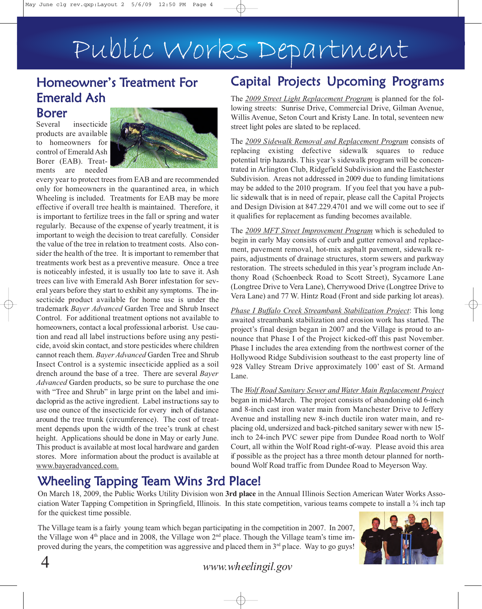## Public Works Department

## Homeowner's Treatment For Emerald Ash

#### Borer

Several insecticide products are available to homeowners for control of Emerald Ash Borer (EAB). Treatments are needed



every year to protect trees from EAB and are recommended only for homeowners in the quarantined area, in which Wheeling is included. Treatments for EAB may be more effective if overall tree health is maintained. Therefore, it is important to fertilize trees in the fall or spring and water regularly. Because of the expense of yearly treatment, it is important to weigh the decision to treat carefully. Consider the value of the tree in relation to treatment costs. Also consider the health of the tree. It is important to remember that treatments work best as a preventive measure. Once a tree is noticeably infested, it is usually too late to save it. Ash trees can live with Emerald Ash Borer infestation for several years before they start to exhibit any symptoms. The insecticide product available for home use is under the trademark *Bayer Advanced* Garden Tree and Shrub Insect Control. For additional treatment options not available to homeowners, contact a local professional arborist. Use caution and read all label instructions before using any pesticide, avoid skin contact, and store pesticides where children cannot reach them. *Bayer Advanced* Garden Tree and Shrub Insect Control is a systemic insecticide applied as a soil drench around the base of a tree. There are several *Bayer Advanced* Garden products, so be sure to purchase the one with "Tree and Shrub" in large print on the label and imidacloprid as the active ingredient. Label instructions say to use one ounce of the insecticide for every inch of distance around the tree trunk (circumference). The cost of treatment depends upon the width of the tree's trunk at chest height. Applications should be done in May or early June. This product is available at most local hardware and garden stores. More information about the product is available at www.bayeradvanced.com.

## Capital Projects Upcoming Programs

The *2009 Street Light Replacement Program* is planned for the following streets: Sunrise Drive, Commercial Drive, Gilman Avenue, Willis Avenue, Seton Court and Kristy Lane. In total, seventeen new street light poles are slated to be replaced.

The *2009 Sidewalk Removal and Replacement Program* consists of replacing existing defective sidewalk squares to reduce potential trip hazards. This year's sidewalk program will be concentrated in Arlington Club, Ridgefield Subdivision and the Eastchester Subdivision. Areas not addressed in 2009 due to funding limitations may be added to the 2010 program. If you feel that you have a public sidewalk that is in need of repair, please call the Capital Projects and Design Division at 847.229.4701 and we will come out to see if it qualifies for replacement as funding becomes available.

The *2009 MFT Street Improvement Program* which is scheduled to begin in early May consists of curb and gutter removal and replacement, pavement removal, hot-mix asphalt pavement, sidewalk repairs, adjustments of drainage structures, storm sewers and parkway restoration. The streets scheduled in this year's program include Anthony Road (Schoenbeck Road to Scott Street), Sycamore Lane (Longtree Drive to Vera Lane), Cherrywood Drive (Longtree Drive to Vera Lane) and 77 W. Hintz Road (Front and side parking lot areas).

*Phase I Buffalo Creek Streambank Stabilization Project*: This long awaited streambank stabilization and erosion work has started. The project's final design began in 2007 and the Village is proud to announce that Phase I of the Project kicked-off this past November. Phase I includes the area extending from the northwest corner of the Hollywood Ridge Subdivision southeast to the east property line of 928 Valley Stream Drive approximately 100' east of St. Armand Lane.

The *Wolf Road Sanitary Sewer and Water Main Replacement Project* began in mid-March. The project consists of abandoning old 6-inch and 8-inch cast iron water main from Manchester Drive to Jeffery Avenue and installing new 8-inch ductile iron water main, and replacing old, undersized and back-pitched sanitary sewer with new 15 inch to 24-inch PVC sewer pipe from Dundee Road north to Wolf Court, all within the Wolf Road right-of-way. Please avoid this area if possible as the project has a three month detour planned for northbound Wolf Road traffic from Dundee Road to Meyerson Way.

## Wheeling Tapping Team Wins 3rd Place!

On March 18, 2009, the Public Works Utility Division won **3rd place** in the Annual Illinois Section American Water Works Association Water Tapping Competition in Springfield, Illinois. In this state competition, various teams compete to install a ¾ inch tap for the quickest time possible.

The Village team is a fairly young team which began participating in the competition in 2007. In 2007, the Village won  $4<sup>th</sup>$  place and in 2008, the Village won  $2<sup>nd</sup>$  place. Though the Village team's time improved during the years, the competition was aggressive and placed them in 3<sup>rd</sup> place. Way to go guys!

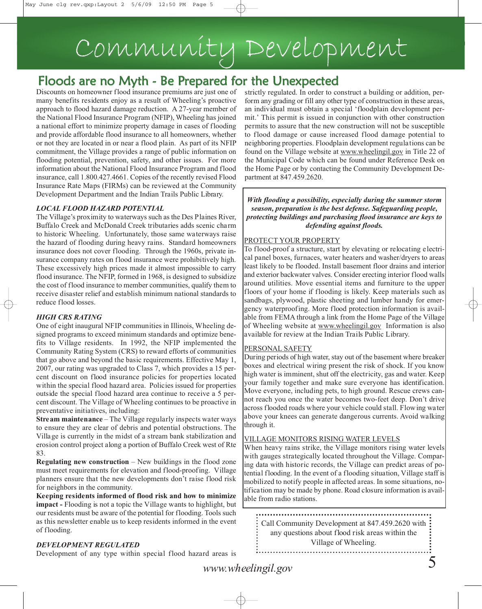# Community Development

## Floods are no Myth - Be Prepared for the Unexpected

Discounts on homeowner flood insurance premiums are just one of many benefits residents enjoy as a result of Wheeling's proactive approach to flood hazard damage reduction. A 27-year member of the National Flood Insurance Program (NFIP), Wheeling has joined a national effort to minimize property damage in cases of flooding and provide affordable flood insurance to all homeowners, whether or not they are located in or near a flood plain. As part of its NFIP commitment, the Village provides a range of public information on flooding potential, prevention, safety, and other issues. For more information about the National Flood Insurance Program and flood insurance, call 1.800.427.4661. Copies of the recently revised Flood Insurance Rate Maps (FIRMs) can be reviewed at the Community Development Department and the Indian Trails Public Library.

#### *LOCAL FLOOD HAZARD POTENTIAL*

The Village's proximity to waterways such as the Des Plaines River, Buffalo Creek and McDonald Creek tributaries adds scenic charm to historic Wheeling. Unfortunately, those same waterways raise the hazard of flooding during heavy rains. Standard homeowners insurance does not cover flooding. Through the 1960s, private insurance company rates on flood insurance were prohibitively high. These excessively high prices made it almost impossible to carry flood insurance. The NFIP, formed in 1968, is designed to subsidize the cost of flood insurance to member communities, qualify them to receive disaster relief and establish minimum national standards to reduce flood losses.

#### *HIGH CRS RATING*

One of eight inaugural NFIP communities in Illinois, Wheeling designed programs to exceed minimum standards and optimize benefits to Village residents. In 1992, the NFIP implemented the Community Rating System (CRS) to reward efforts of communities that go above and beyond the basic requirements. Effective May 1, 2007, our rating was upgraded to Class 7, which provides a 15 percent discount on flood insurance policies for properties located within the special flood hazard area. Policies issued for properties outside the special flood hazard area continue to receive a 5 percent discount. The Village of Wheeling continues to be proactive in preventative initiatives, including:

**Stream maintenance** – The Village regularly inspects water ways to ensure they are clear of debris and potential obstructions. The Village is currently in the midst of a stream bank stabilization and erosion control project along a portion of Buffalo Creek west of Rte 83.

**Regulating new construction** – New buildings in the flood zone must meet requirements for elevation and flood-proofing. Village planners ensure that the new developments don't raise flood risk for neighbors in the community.

**Keeping residents informed of flood risk and how to minimize impact** - Flooding is not a topic the Village wants to highlight, but our residents must be aware of the potential for flooding. Tools such as this newsletter enable us to keep residents informed in the event of flooding.

#### *DEVELOPMENT REGULATED*

Development of any type within special flood hazard areas is

strictly regulated. In order to construct a building or addition, perform any grading or fill any other type of construction in these areas, an individual must obtain a special 'floodplain development permit.' This permit is issued in conjunction with other construction permits to assure that the new construction will not be susceptible to flood damage or cause increased flood damage potential to neighboring properties. Floodplain development regulations can be found on the Village website at www.wheelingil.gov in Title 22 of the Municipal Code which can be found under Reference Desk on the Home Page or by contacting the Community Development Department at 847.459.2620.

*With flooding a possibility, especially during the summer storm season, preparation is the best defense. Safeguarding people, protecting buildings and purchasing flood insurance are keys to defending against floods.*

#### PROTECT YOUR PROPERTY

To flood-proof a structure, start by elevating or relocating electrical panel boxes, furnaces, water heaters and washer/dryers to areas least likely to be flooded. Install basement floor drains and interior and exterior backwater valves. Consider erecting interior flood walls around utilities. Move essential items and furniture to the upper floors of your home if flooding is likely. Keep materials such as sandbags, plywood, plastic sheeting and lumber handy for emergency waterproofing. More flood protection information is available from FEMA through a link from the Home Page of the Village of Wheeling website at www.wheelingil.gov Information is also available for review at the Indian Trails Public Library.

#### PERSONAL SAFETY

During periods of high water, stay out of the basement where breaker boxes and electrical wiring present the risk of shock. If you know high water is imminent, shut off the electricity, gas and water. Keep your family together and make sure everyone has identification. Move everyone, including pets, to high ground. Rescue crews cannot reach you once the water becomes two-feet deep. Don't drive across flooded roads where your vehicle could stall. Flowing water above your knees can generate dangerous currents. Avoid walking through it.

#### VILLAGE MONITORS RISING WATER LEVELS

When heavy rains strike, the Village monitors rising water levels with gauges strategically located throughout the Village. Comparing data with historic records, the Village can predict areas of potential flooding. In the event of a flooding situation, Village staff is mobilized to notify people in affected areas. In some situations, notification may be made by phone. Road closure information is available from radio stations.

Call Community Development at 847.459.2620 with : any questions about flood risk areas within the Village of Wheeling.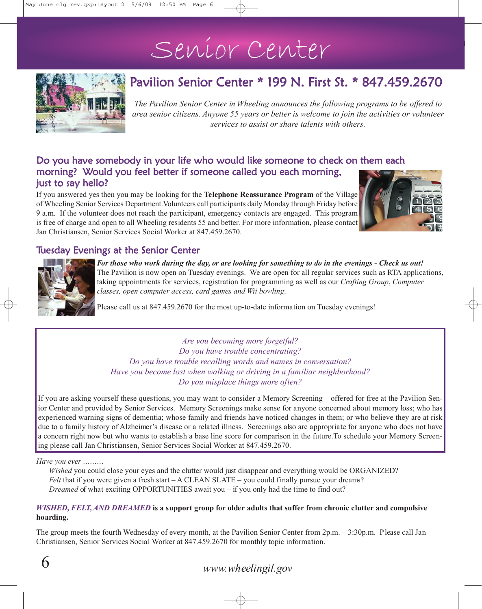## Senior Center



### Pavilion Senior Center \* 199 N. First St. \* 847.459.2670

*The Pavilion Senior Center in Wheeling announces the following programs to be offered to area senior citizens. Anyone 55 years or better is welcome to join the activities or volunteer services to assist or share talents with others.*

#### Do you have somebody in your life who would like someone to check on them each morning? Would you feel better if someone called you each morning, just to say hello?

If you answered yes then you may be looking for the **Telephone Reassurance Program** of the Village of Wheeling Senior Services Department.Volunteers call participants daily Monday through Friday before 9 a.m. If the volunteer does not reach the participant, emergency contacts are engaged. This program is free of charge and open to all Wheeling residents 55 and better. For more information, please contact Jan Christiansen, Senior Services Social Worker at 847.459.2670.



#### Tuesday Evenings at the Senior Center



*For those who work during the day, or are looking for something to do in the evenings - Check us out!*  The Pavilion is now open on Tuesday evenings. We are open for all regular services such as RTA applications, taking appointments for services, registration for programming as well as our *Crafting Group*, *Computer classes, open computer access, card games and Wii bowling*.

Please call us at 847.459.2670 for the most up-to-date information on Tuesday evenings!

*Are you becoming more forgetful? Do you have trouble concentrating? Do you have trouble recalling words and names in conversation? Have you become lost when walking or driving in a familiar neighborhood? Do you misplace things more often?*

If you are asking yourself these questions, you may want to consider a Memory Screening – offered for free at the Pavilion Senior Center and provided by Senior Services. Memory Screenings make sense for anyone concerned about memory loss; who has experienced warning signs of dementia; whose family and friends have noticed changes in them; or who believe they are at risk due to a family history of Alzheimer's disease or a related illness. Screenings also are appropriate for anyone who does not have a concern right now but who wants to establish a base line score for comparison in the future.To schedule your Memory Screening please call Jan Christiansen, Senior Services Social Worker at 847.459.2670.

#### *Have you ever ………*

*Wished* you could close your eyes and the clutter would just disappear and everything would be ORGANIZED? *Felt* that if you were given a fresh start – A CLEAN SLATE – you could finally pursue your dreams? *Dreamed* of what exciting OPPORTUNITIES await you – if you only had the time to find out?

#### *WISHED, FELT, AND DREAMED* **is a support group for older adults that suffer from chronic clutter and compulsive hoarding.**

The group meets the fourth Wednesday of every month, at the Pavilion Senior Center from 2p.m. – 3:30p.m. Please call Jan Christiansen, Senior Services Social Worker at 847.459.2670 for monthly topic information.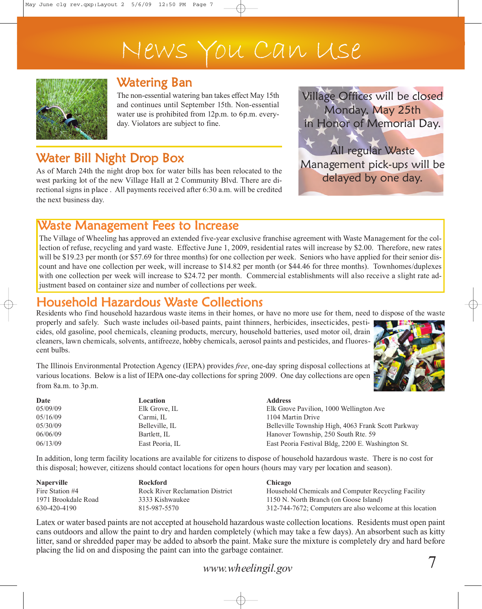## News You Can Use



### Watering Ban

The non-essential watering ban takes effect May 15th and continues until September 15th. Non-essential water use is prohibited from 12p.m. to 6p.m. everyday. Violators are subject to fine.

## Water Bill Night Drop Box

As of March 24th the night drop box for water bills has been relocated to the west parking lot of the new Village Hall at 2 Community Blvd. There are directional signs in place . All payments received after 6:30 a.m. will be credited the next business day.

Village Offices will be closed Monday, May 25th in Honor of Memorial Day.

All regular Waste Management pick-ups will be delayed by one day.

### Waste Management Fees to Increase

The Village of Wheeling has approved an extended five-year exclusive franchise agreement with Waste Management for the collection of refuse, recycling and yard waste. Effective June 1, 2009, residential rates will increase by \$2.00. Therefore, new rates will be \$19.23 per month (or \$57.69 for three months) for one collection per week. Seniors who have applied for their senior discount and have one collection per week, will increase to \$14.82 per month (or \$44.46 for three months). Townhomes/duplexes with one collection per week will increase to \$24.72 per month. Commercial establishments will also receive a slight rate adjustment based on container size and number of collections per week.

### Household Hazardous Waste Collections

Residents who find household hazardous waste items in their homes, or have no more use for them, need to dispose of the waste

properly and safely. Such waste includes oil-based paints, paint thinners, herbicides, insecticides, pesticides, old gasoline, pool chemicals, cleaning products, mercury, household batteries, used motor oil, drain cleaners, lawn chemicals, solvents, antifreeze, hobby chemicals, aerosol paints and pesticides, and fluorescent bulbs.



The Illinois Environmental Protection Agency (IEPA) provides *free*, one-day spring disposal collections at various locations. Below is a list of IEPA one-day collections for spring 2009. One day collections are open from 8a.m. to 3p.m.

| Date     | Location        | <b>Address</b> |
|----------|-----------------|----------------|
| 05/09/09 | Elk Grove, IL   | Elk Groy       |
| 05/16/09 | Carmi. IL       | $1104$ Ma      |
| 05/30/09 | Belleville, IL  | Bellevill      |
| 06/06/09 | Bartlett, IL    | Hanover        |
| 06/13/09 | East Peoria, IL | East Peo       |

## Elk Grove Pavilion, 1000 Wellington Ave

1104 Martin Drive Belleville Township High, 4063 Frank Scott Parkway Hanover Township, 250 South Rte. 59 East Peoria Festival Bldg, 2200 E. Washington St.

In addition, long term facility locations are available for citizens to dispose of household hazardous waste. There is no cost for this disposal; however, citizens should contact locations for open hours (hours may vary per location and season).

| <b>Naperville</b>   | <b>Rockford</b>                        | <b>Chicago</b>                                            |
|---------------------|----------------------------------------|-----------------------------------------------------------|
| Fire Station #4     | <b>Rock River Reclamation District</b> | Household Chemicals and Computer Recycling Facility       |
| 1971 Brookdale Road | 3333 Kishwaukee                        | 1150 N. North Branch (on Goose Island)                    |
| 630-420-4190        | 815-987-5570                           | 312-744-7672; Computers are also welcome at this location |

Latex or water based paints are not accepted at household hazardous waste collection locations. Residents must open paint cans outdoors and allow the paint to dry and harden completely (which may take a few days). An absorbent such as kitty litter, sand or shredded paper may be added to absorb the paint. Make sure the mixture is completely dry and hard before placing the lid on and disposing the paint can into the garbage container.